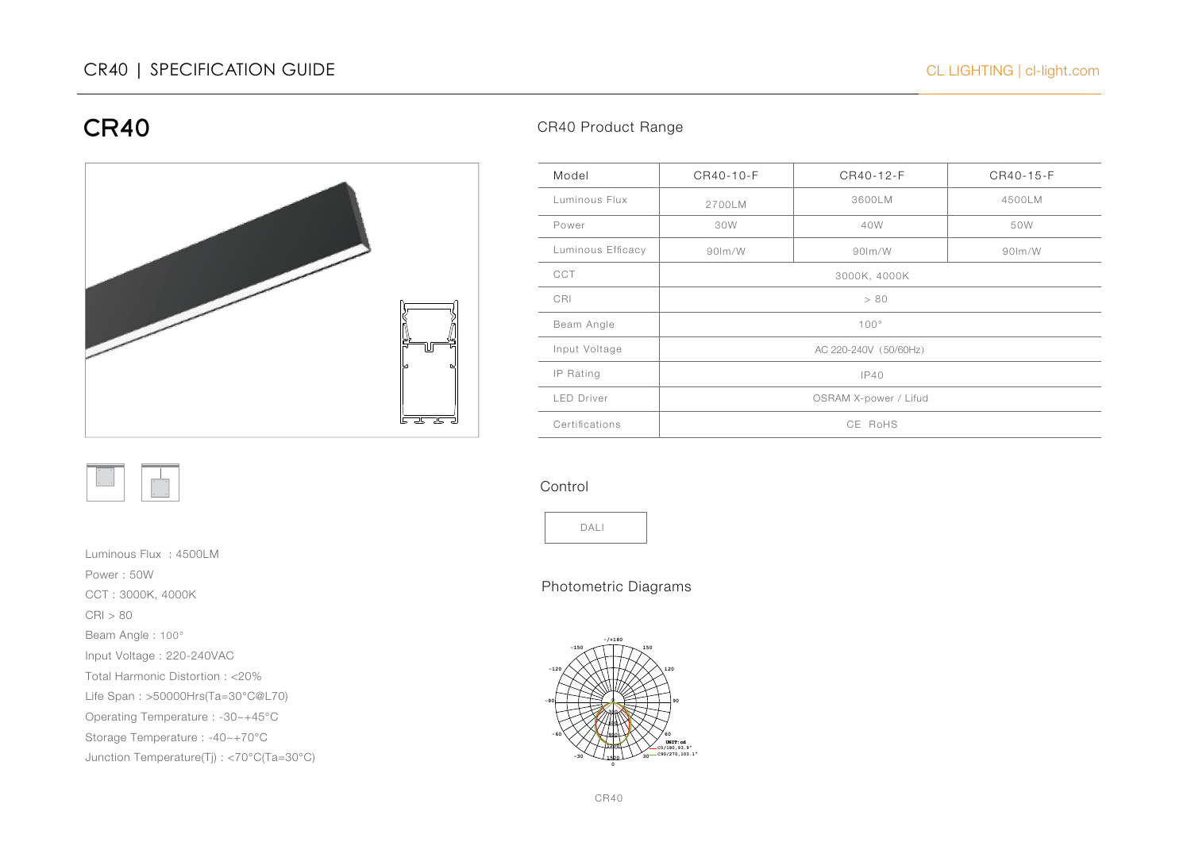

Luminous Flux : 4500LM Power : 50W CCT : 3000K, 4000K CRI > 80 Beam Angle : 100° Input Voltage : 220-240VAC Total Harmonic Distortion : <20% Life Span : >50000Hrs(Ta=30°C@L70) Operating Temperature : -30~+45°C Storage Temperature : -40~+70°C Junction Temperature(Tj) : <70°C(Ta=30°C)

## CR40 Product Range

| Model             | CR40-10-F             | CR40-12-F | CR40-15-F |
|-------------------|-----------------------|-----------|-----------|
| Luminous Flux     | 2700LM                | 3600LM    | 4500LM    |
| Power             | 30W                   | 40W       | 50W       |
| Luminous Efficacy | $90$ m/W              | $90$ lm/W | $90$ lm/W |
| <b>CCT</b>        | 3000K, 4000K          |           |           |
| CRI               | > 80                  |           |           |
| Beam Angle        | $100^\circ$           |           |           |
| Input Voltage     | AC 220-240V (50/60Hz) |           |           |
| IP Rating         | IP40                  |           |           |
| <b>LED Driver</b> | OSRAM X-power / Lifud |           |           |
| Certifications    | CE RoHS               |           |           |

#### Control



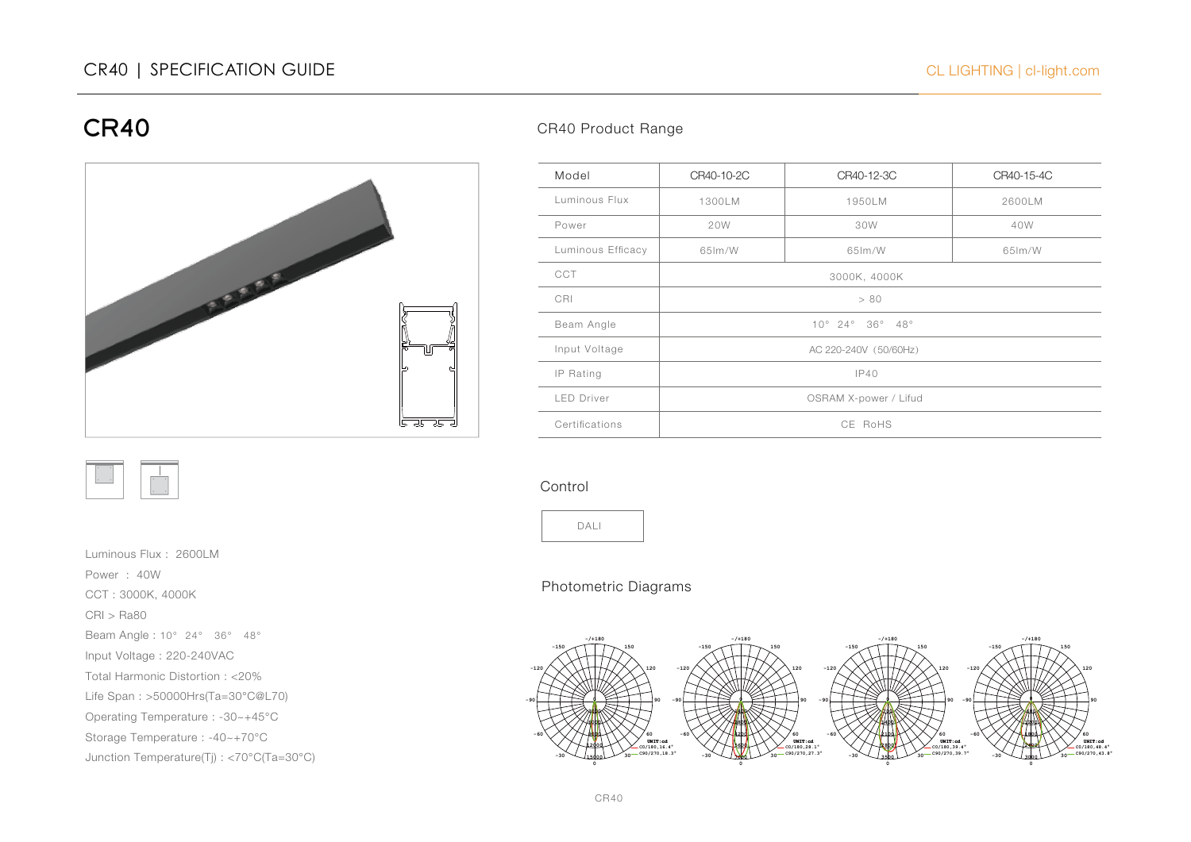



Luminous Flux : 2600LM Power : 40W CCT : 3000K, 4000K CRI > Ra80 Beam Angle : 10° 24° 36° 48° Input Voltage : 220-240VAC Total Harmonic Distortion : <20% Life Span : >50000Hrs(Ta=30°C@L70) Operating Temperature : -30~+45°C Storage Temperature : -40~+70°C

Junction Temperature(Tj) : <70°C(Ta=30°C)

### CR40 Product Range

| Model             | CR40-10-2C               | CR40-12-3C | CR40-15-4C |
|-------------------|--------------------------|------------|------------|
| Luminous Flux     | 1300LM                   | 1950LM     | 2600LM     |
| Power             | 20W                      | 30W        | 40W        |
| Luminous Efficacy | 65lm/W                   | 65lm/W     | 65 lm/W    |
| CCT               | 3000K, 4000K             |            |            |
| CRI               | > 80                     |            |            |
| Beam Angle        | $10^{\circ}$ 24° 36° 48° |            |            |
| Input Voltage     | AC 220-240V (50/60Hz)    |            |            |
| IP Rating         | IP40                     |            |            |
| <b>LED Driver</b> | OSRAM X-power / Lifud    |            |            |
| Certifications    | CE RoHS                  |            |            |

### Control



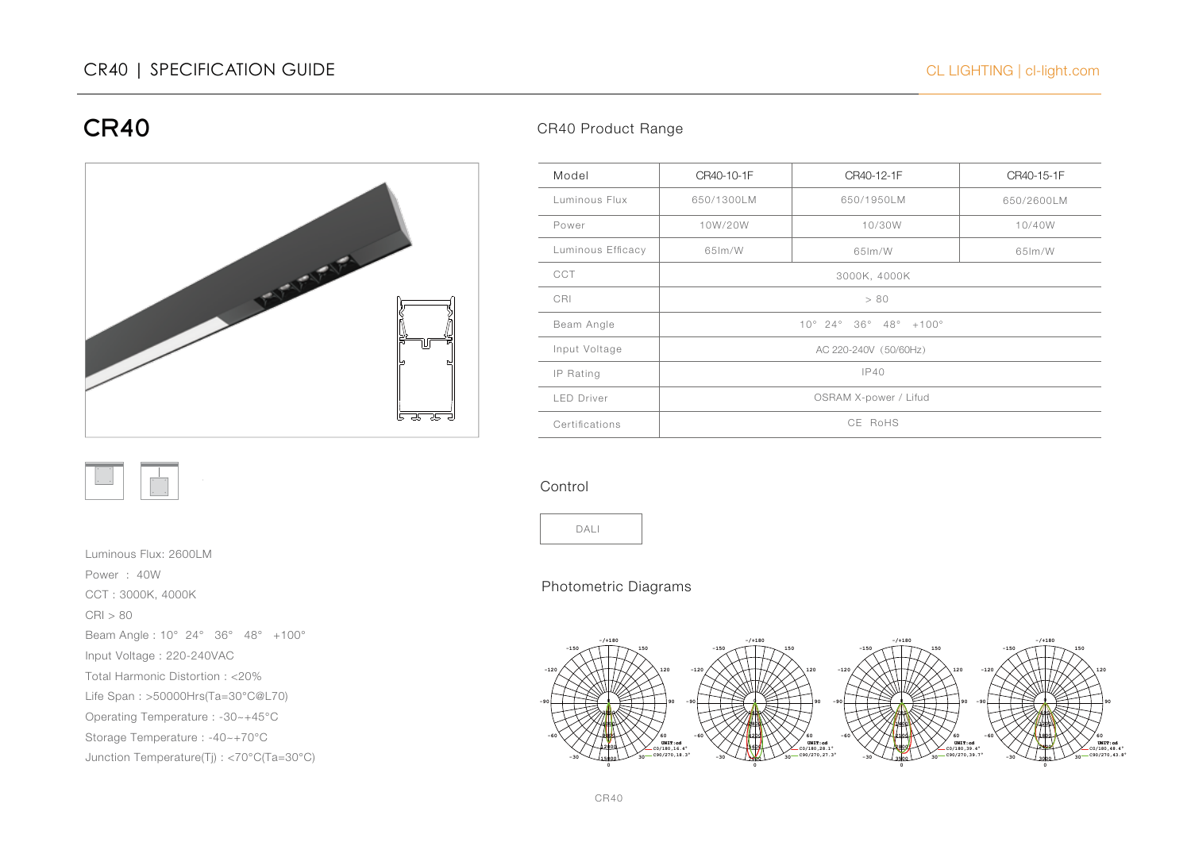



Luminous Flux: 2600LM Power : 40W CCT : 3000K, 4000K CRI > 80 Beam Angle : 10° 24° 36° 48° +100° Input Voltage : 220-240VAC Total Harmonic Distortion : <20% Life Span : >50000Hrs(Ta=30°C@L70) Operating Temperature : -30~+45°C Storage Temperature : -40~+70°C Junction Temperature(Tj) : <70°C(Ta=30°C)

## CR40 Product Range

| Model             | CR40-10-1F                     | CR40-12-1F | CR40-15-1F |
|-------------------|--------------------------------|------------|------------|
| Luminous Flux     | 650/1300LM                     | 650/1950LM | 650/2600LM |
| Power             | 10W/20W                        | 10/30W     | 10/40W     |
| Luminous Efficacy | 65 lm/W                        | 65lm/W     | 65 lm/W    |
| <b>CCT</b>        | 3000K, 4000K                   |            |            |
| CRI               | > 80                           |            |            |
| Beam Angle        | $10^{\circ}$ 24° 36° 48° +100° |            |            |
| Input Voltage     | AC 220-240V (50/60Hz)          |            |            |
| IP Rating         | IP40                           |            |            |
| <b>LED Driver</b> | OSRAM X-power / Lifud          |            |            |
| Certifications    | CE RoHS                        |            |            |

### Control